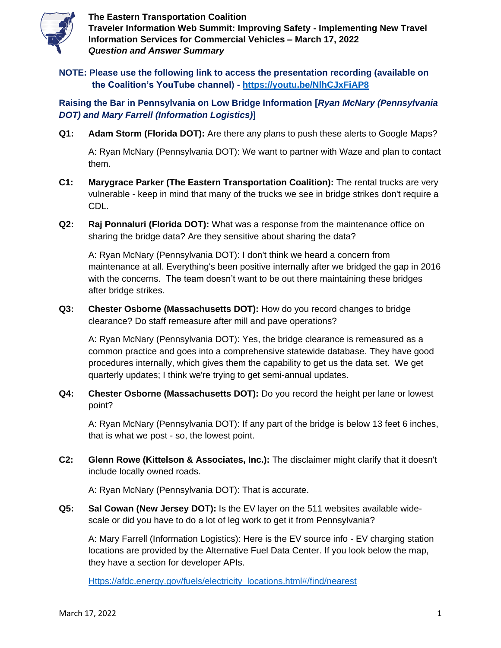

**NOTE: Please use the following link to access the presentation recording (available on the Coalition's YouTube channel) - <https://youtu.be/NlhCJxFiAP8>**

**Raising the Bar in Pennsylvania on Low Bridge Information [***Ryan McNary (Pennsylvania DOT) and Mary Farrell (Information Logistics)***]**

**Q1: Adam Storm (Florida DOT):** Are there any plans to push these alerts to Google Maps?

A: Ryan McNary (Pennsylvania DOT): We want to partner with Waze and plan to contact them.

- **C1: Marygrace Parker (The Eastern Transportation Coalition):** The rental trucks are very vulnerable - keep in mind that many of the trucks we see in bridge strikes don't require a CDL.
- **Q2: Raj Ponnaluri (Florida DOT):** What was a response from the maintenance office on sharing the bridge data? Are they sensitive about sharing the data?

A: Ryan McNary (Pennsylvania DOT): I don't think we heard a concern from maintenance at all. Everything's been positive internally after we bridged the gap in 2016 with the concerns. The team doesn't want to be out there maintaining these bridges after bridge strikes.

**Q3: Chester Osborne (Massachusetts DOT):** How do you record changes to bridge clearance? Do staff remeasure after mill and pave operations?

A: Ryan McNary (Pennsylvania DOT): Yes, the bridge clearance is remeasured as a common practice and goes into a comprehensive statewide database. They have good procedures internally, which gives them the capability to get us the data set. We get quarterly updates; I think we're trying to get semi-annual updates.

**Q4: Chester Osborne (Massachusetts DOT):** Do you record the height per lane or lowest point?

A: Ryan McNary (Pennsylvania DOT): If any part of the bridge is below 13 feet 6 inches, that is what we post - so, the lowest point.

**C2: Glenn Rowe (Kittelson & Associates, Inc.):** The disclaimer might clarify that it doesn't include locally owned roads.

A: Ryan McNary (Pennsylvania DOT): That is accurate.

**Q5: Sal Cowan (New Jersey DOT):** Is the EV layer on the 511 websites available widescale or did you have to do a lot of leg work to get it from Pennsylvania?

A: Mary Farrell (Information Logistics): Here is the EV source info - EV charging station locations are provided by the Alternative Fuel Data Center. If you look below the map, they have a section for developer APIs.

[Https://afdc.energy.gov/fuels/electricity\\_locations.html#/find/nearest](https://afdc.energy.gov/fuels/electricity_locations.html#/find/nearest)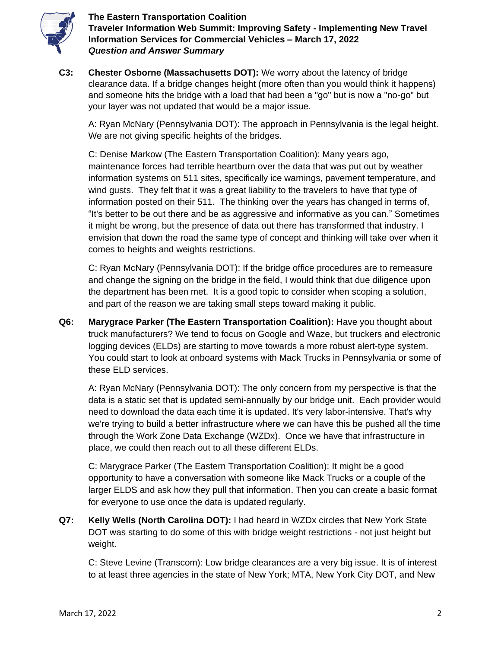

**C3: Chester Osborne (Massachusetts DOT):** We worry about the latency of bridge clearance data. If a bridge changes height (more often than you would think it happens) and someone hits the bridge with a load that had been a "go" but is now a "no-go" but your layer was not updated that would be a major issue.

A: Ryan McNary (Pennsylvania DOT): The approach in Pennsylvania is the legal height. We are not giving specific heights of the bridges.

C: Denise Markow (The Eastern Transportation Coalition): Many years ago, maintenance forces had terrible heartburn over the data that was put out by weather information systems on 511 sites, specifically ice warnings, pavement temperature, and wind gusts. They felt that it was a great liability to the travelers to have that type of information posted on their 511. The thinking over the years has changed in terms of, "It's better to be out there and be as aggressive and informative as you can." Sometimes it might be wrong, but the presence of data out there has transformed that industry. I envision that down the road the same type of concept and thinking will take over when it comes to heights and weights restrictions.

C: Ryan McNary (Pennsylvania DOT): If the bridge office procedures are to remeasure and change the signing on the bridge in the field, I would think that due diligence upon the department has been met. It is a good topic to consider when scoping a solution, and part of the reason we are taking small steps toward making it public.

**Q6: Marygrace Parker (The Eastern Transportation Coalition):** Have you thought about truck manufacturers? We tend to focus on Google and Waze, but truckers and electronic logging devices (ELDs) are starting to move towards a more robust alert-type system. You could start to look at onboard systems with Mack Trucks in Pennsylvania or some of these ELD services.

A: Ryan McNary (Pennsylvania DOT): The only concern from my perspective is that the data is a static set that is updated semi-annually by our bridge unit. Each provider would need to download the data each time it is updated. It's very labor-intensive. That's why we're trying to build a better infrastructure where we can have this be pushed all the time through the Work Zone Data Exchange (WZDx). Once we have that infrastructure in place, we could then reach out to all these different ELDs.

C: Marygrace Parker (The Eastern Transportation Coalition): It might be a good opportunity to have a conversation with someone like Mack Trucks or a couple of the larger ELDS and ask how they pull that information. Then you can create a basic format for everyone to use once the data is updated regularly.

**Q7: Kelly Wells (North Carolina DOT):** I had heard in WZDx circles that New York State DOT was starting to do some of this with bridge weight restrictions - not just height but weight.

C: Steve Levine (Transcom): Low bridge clearances are a very big issue. It is of interest to at least three agencies in the state of New York; MTA, New York City DOT, and New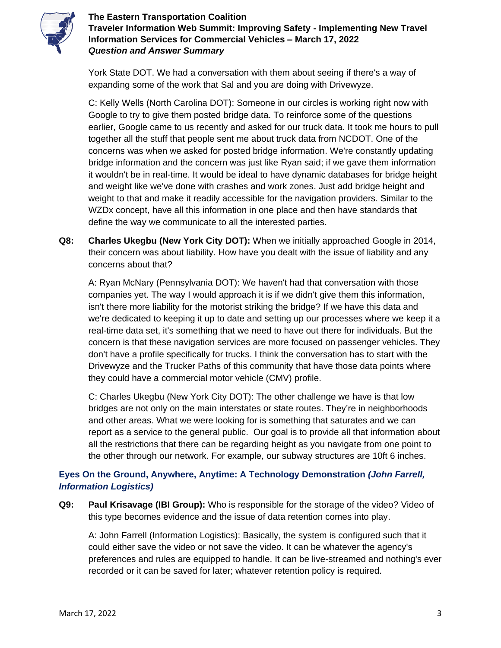

York State DOT. We had a conversation with them about seeing if there's a way of expanding some of the work that Sal and you are doing with Drivewyze.

C: Kelly Wells (North Carolina DOT): Someone in our circles is working right now with Google to try to give them posted bridge data. To reinforce some of the questions earlier, Google came to us recently and asked for our truck data. It took me hours to pull together all the stuff that people sent me about truck data from NCDOT. One of the concerns was when we asked for posted bridge information. We're constantly updating bridge information and the concern was just like Ryan said; if we gave them information it wouldn't be in real-time. It would be ideal to have dynamic databases for bridge height and weight like we've done with crashes and work zones. Just add bridge height and weight to that and make it readily accessible for the navigation providers. Similar to the WZDx concept, have all this information in one place and then have standards that define the way we communicate to all the interested parties.

**Q8: Charles Ukegbu (New York City DOT):** When we initially approached Google in 2014, their concern was about liability. How have you dealt with the issue of liability and any concerns about that?

A: Ryan McNary (Pennsylvania DOT): We haven't had that conversation with those companies yet. The way I would approach it is if we didn't give them this information, isn't there more liability for the motorist striking the bridge? If we have this data and we're dedicated to keeping it up to date and setting up our processes where we keep it a real-time data set, it's something that we need to have out there for individuals. But the concern is that these navigation services are more focused on passenger vehicles. They don't have a profile specifically for trucks. I think the conversation has to start with the Drivewyze and the Trucker Paths of this community that have those data points where they could have a commercial motor vehicle (CMV) profile.

C: Charles Ukegbu (New York City DOT): The other challenge we have is that low bridges are not only on the main interstates or state routes. They're in neighborhoods and other areas. What we were looking for is something that saturates and we can report as a service to the general public. Our goal is to provide all that information about all the restrictions that there can be regarding height as you navigate from one point to the other through our network. For example, our subway structures are 10ft 6 inches.

# **Eyes On the Ground, Anywhere, Anytime: A Technology Demonstration** *(John Farrell, Information Logistics)*

**Q9: Paul Krisavage (IBI Group):** Who is responsible for the storage of the video? Video of this type becomes evidence and the issue of data retention comes into play.

A: John Farrell (Information Logistics): Basically, the system is configured such that it could either save the video or not save the video. It can be whatever the agency's preferences and rules are equipped to handle. It can be live-streamed and nothing's ever recorded or it can be saved for later; whatever retention policy is required.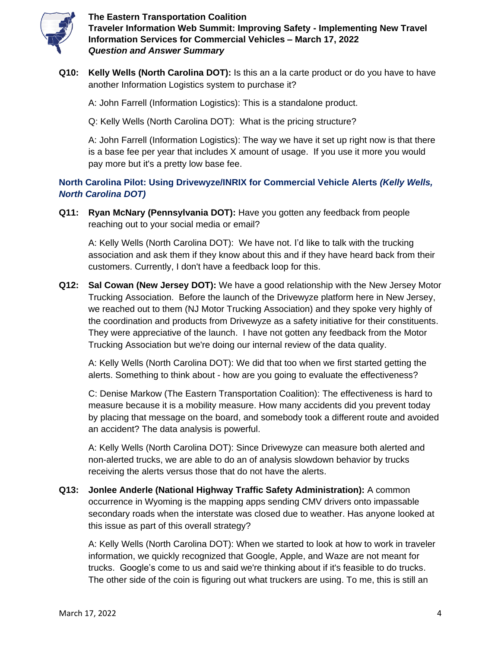

**Q10: Kelly Wells (North Carolina DOT):** Is this an a la carte product or do you have to have another Information Logistics system to purchase it?

A: John Farrell (Information Logistics): This is a standalone product.

Q: Kelly Wells (North Carolina DOT): What is the pricing structure?

A: John Farrell (Information Logistics): The way we have it set up right now is that there is a base fee per year that includes X amount of usage. If you use it more you would pay more but it's a pretty low base fee.

## **North Carolina Pilot: Using Drivewyze/INRIX for Commercial Vehicle Alerts** *(Kelly Wells, North Carolina DOT)*

**Q11: Ryan McNary (Pennsylvania DOT):** Have you gotten any feedback from people reaching out to your social media or email?

A: Kelly Wells (North Carolina DOT): We have not. I'd like to talk with the trucking association and ask them if they know about this and if they have heard back from their customers. Currently, I don't have a feedback loop for this.

**Q12: Sal Cowan (New Jersey DOT):** We have a good relationship with the New Jersey Motor Trucking Association. Before the launch of the Drivewyze platform here in New Jersey, we reached out to them (NJ Motor Trucking Association) and they spoke very highly of the coordination and products from Drivewyze as a safety initiative for their constituents. They were appreciative of the launch. I have not gotten any feedback from the Motor Trucking Association but we're doing our internal review of the data quality.

A: Kelly Wells (North Carolina DOT): We did that too when we first started getting the alerts. Something to think about - how are you going to evaluate the effectiveness?

C: Denise Markow (The Eastern Transportation Coalition): The effectiveness is hard to measure because it is a mobility measure. How many accidents did you prevent today by placing that message on the board, and somebody took a different route and avoided an accident? The data analysis is powerful.

A: Kelly Wells (North Carolina DOT): Since Drivewyze can measure both alerted and non-alerted trucks, we are able to do an of analysis slowdown behavior by trucks receiving the alerts versus those that do not have the alerts.

**Q13: Jonlee Anderle (National Highway Traffic Safety Administration):** A common occurrence in Wyoming is the mapping apps sending CMV drivers onto impassable secondary roads when the interstate was closed due to weather. Has anyone looked at this issue as part of this overall strategy?

A: Kelly Wells (North Carolina DOT): When we started to look at how to work in traveler information, we quickly recognized that Google, Apple, and Waze are not meant for trucks. Google's come to us and said we're thinking about if it's feasible to do trucks. The other side of the coin is figuring out what truckers are using. To me, this is still an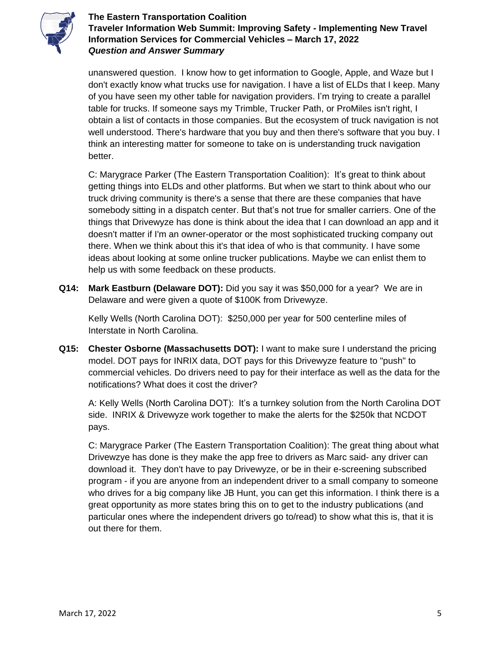

unanswered question. I know how to get information to Google, Apple, and Waze but I don't exactly know what trucks use for navigation. I have a list of ELDs that I keep. Many of you have seen my other table for navigation providers. I'm trying to create a parallel table for trucks. If someone says my Trimble, Trucker Path, or ProMiles isn't right, I obtain a list of contacts in those companies. But the ecosystem of truck navigation is not well understood. There's hardware that you buy and then there's software that you buy. I think an interesting matter for someone to take on is understanding truck navigation better.

C: Marygrace Parker (The Eastern Transportation Coalition): It's great to think about getting things into ELDs and other platforms. But when we start to think about who our truck driving community is there's a sense that there are these companies that have somebody sitting in a dispatch center. But that's not true for smaller carriers. One of the things that Drivewyze has done is think about the idea that I can download an app and it doesn't matter if I'm an owner-operator or the most sophisticated trucking company out there. When we think about this it's that idea of who is that community. I have some ideas about looking at some online trucker publications. Maybe we can enlist them to help us with some feedback on these products.

**Q14: Mark Eastburn (Delaware DOT):** Did you say it was \$50,000 for a year? We are in Delaware and were given a quote of \$100K from Drivewyze.

Kelly Wells (North Carolina DOT): \$250,000 per year for 500 centerline miles of Interstate in North Carolina.

**Q15: Chester Osborne (Massachusetts DOT):** I want to make sure I understand the pricing model. DOT pays for INRIX data, DOT pays for this Drivewyze feature to "push" to commercial vehicles. Do drivers need to pay for their interface as well as the data for the notifications? What does it cost the driver?

A: Kelly Wells (North Carolina DOT): It's a turnkey solution from the North Carolina DOT side. INRIX & Drivewyze work together to make the alerts for the \$250k that NCDOT pays.

C: Marygrace Parker (The Eastern Transportation Coalition): The great thing about what Drivewzye has done is they make the app free to drivers as Marc said- any driver can download it. They don't have to pay Drivewyze, or be in their e-screening subscribed program - if you are anyone from an independent driver to a small company to someone who drives for a big company like JB Hunt, you can get this information. I think there is a great opportunity as more states bring this on to get to the industry publications (and particular ones where the independent drivers go to/read) to show what this is, that it is out there for them.